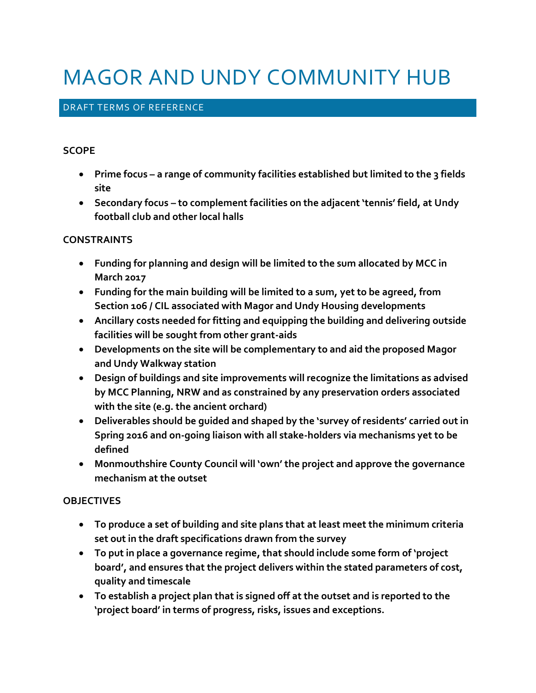# MAGOR AND UNDY COMMUNITY HUB

# DRAFT TERMS OF REFERENCE

#### **SCOPE**

- **Prime focus – a range of community facilities established but limited to the 3 fields site**
- **Secondary focus – to complement facilities on the adjacent 'tennis' field, at Undy football club and other local halls**

## **CONSTRAINTS**

- **Funding for planning and design will be limited to the sum allocated by MCC in March 2017**
- **Funding for the main building will be limited to a sum, yet to be agreed, from Section 106 / CIL associated with Magor and Undy Housing developments**
- **Ancillary costs needed for fitting and equipping the building and delivering outside facilities will be sought from other grant-aids**
- **Developments on the site will be complementary to and aid the proposed Magor and Undy Walkway station**
- **Design of buildings and site improvements will recognize the limitations as advised by MCC Planning, NRW and as constrained by any preservation orders associated with the site (e.g. the ancient orchard)**
- **Deliverables should be guided and shaped by the 'survey of residents' carried out in Spring 2016 and on-going liaison with all stake-holders via mechanisms yet to be defined**
- **Monmouthshire County Council will 'own' the project and approve the governance mechanism at the outset**

# **OBJECTIVES**

- **To produce a set of building and site plans that at least meet the minimum criteria set out in the draft specifications drawn from the survey**
- **To put in place a governance regime, that should include some form of 'project board', and ensures that the project delivers within the stated parameters of cost, quality and timescale**
- **To establish a project plan that is signed off at the outset and is reported to the 'project board' in terms of progress, risks, issues and exceptions.**